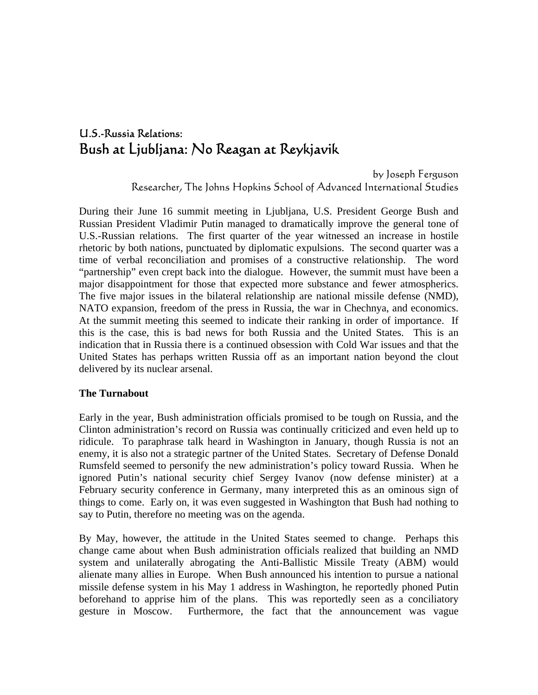## U.S.-Russia Relations: Bush at Ljubljana: No Reagan at Reykjavik

by Joseph Ferguson Researcher, The Johns Hopkins School of Advanced International Studies

During their June 16 summit meeting in Ljubljana, U.S. President George Bush and Russian President Vladimir Putin managed to dramatically improve the general tone of U.S.-Russian relations. The first quarter of the year witnessed an increase in hostile rhetoric by both nations, punctuated by diplomatic expulsions. The second quarter was a time of verbal reconciliation and promises of a constructive relationship. The word "partnership" even crept back into the dialogue. However, the summit must have been a major disappointment for those that expected more substance and fewer atmospherics. The five major issues in the bilateral relationship are national missile defense (NMD), NATO expansion, freedom of the press in Russia, the war in Chechnya, and economics. At the summit meeting this seemed to indicate their ranking in order of importance. If this is the case, this is bad news for both Russia and the United States. This is an indication that in Russia there is a continued obsession with Cold War issues and that the United States has perhaps written Russia off as an important nation beyond the clout delivered by its nuclear arsenal.

## **The Turnabout**

Early in the year, Bush administration officials promised to be tough on Russia, and the Clinton administration's record on Russia was continually criticized and even held up to ridicule. To paraphrase talk heard in Washington in January, though Russia is not an enemy, it is also not a strategic partner of the United States. Secretary of Defense Donald Rumsfeld seemed to personify the new administration's policy toward Russia. When he ignored Putin's national security chief Sergey Ivanov (now defense minister) at a February security conference in Germany, many interpreted this as an ominous sign of things to come. Early on, it was even suggested in Washington that Bush had nothing to say to Putin, therefore no meeting was on the agenda.

By May, however, the attitude in the United States seemed to change. Perhaps this change came about when Bush administration officials realized that building an NMD system and unilaterally abrogating the Anti-Ballistic Missile Treaty (ABM) would alienate many allies in Europe. When Bush announced his intention to pursue a national missile defense system in his May 1 address in Washington, he reportedly phoned Putin beforehand to apprise him of the plans. This was reportedly seen as a conciliatory gesture in Moscow. Furthermore, the fact that the announcement was vague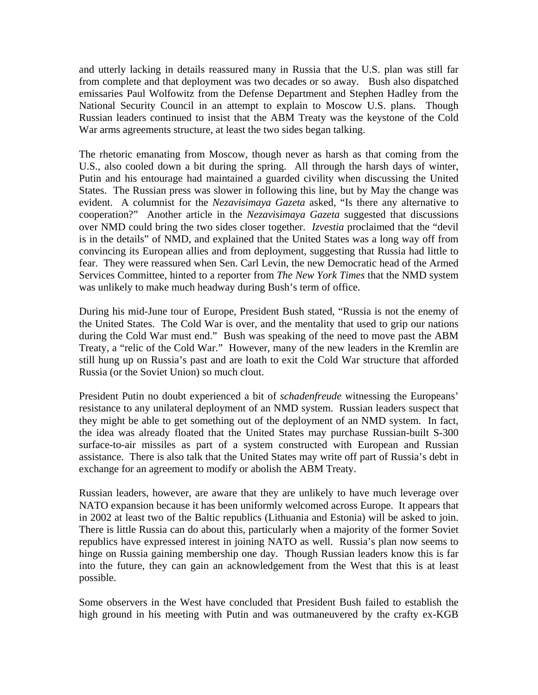and utterly lacking in details reassured many in Russia that the U.S. plan was still far from complete and that deployment was two decades or so away. Bush also dispatched emissaries Paul Wolfowitz from the Defense Department and Stephen Hadley from the National Security Council in an attempt to explain to Moscow U.S. plans. Though Russian leaders continued to insist that the ABM Treaty was the keystone of the Cold War arms agreements structure, at least the two sides began talking.

The rhetoric emanating from Moscow, though never as harsh as that coming from the U.S., also cooled down a bit during the spring. All through the harsh days of winter, Putin and his entourage had maintained a guarded civility when discussing the United States. The Russian press was slower in following this line, but by May the change was evident. A columnist for the *Nezavisimaya Gazeta* asked, "Is there any alternative to cooperation?" Another article in the *Nezavisimaya Gazeta* suggested that discussions over NMD could bring the two sides closer together. *Izvestia* proclaimed that the "devil is in the details" of NMD, and explained that the United States was a long way off from convincing its European allies and from deployment, suggesting that Russia had little to fear. They were reassured when Sen. Carl Levin, the new Democratic head of the Armed Services Committee, hinted to a reporter from *The New York Times* that the NMD system was unlikely to make much headway during Bush's term of office.

During his mid-June tour of Europe, President Bush stated, "Russia is not the enemy of the United States. The Cold War is over, and the mentality that used to grip our nations during the Cold War must end." Bush was speaking of the need to move past the ABM Treaty, a "relic of the Cold War." However, many of the new leaders in the Kremlin are still hung up on Russia's past and are loath to exit the Cold War structure that afforded Russia (or the Soviet Union) so much clout.

President Putin no doubt experienced a bit of *schadenfreude* witnessing the Europeans' resistance to any unilateral deployment of an NMD system. Russian leaders suspect that they might be able to get something out of the deployment of an NMD system. In fact, the idea was already floated that the United States may purchase Russian-built S-300 surface-to-air missiles as part of a system constructed with European and Russian assistance. There is also talk that the United States may write off part of Russia's debt in exchange for an agreement to modify or abolish the ABM Treaty.

Russian leaders, however, are aware that they are unlikely to have much leverage over NATO expansion because it has been uniformly welcomed across Europe. It appears that in 2002 at least two of the Baltic republics (Lithuania and Estonia) will be asked to join. There is little Russia can do about this, particularly when a majority of the former Soviet republics have expressed interest in joining NATO as well. Russia's plan now seems to hinge on Russia gaining membership one day. Though Russian leaders know this is far into the future, they can gain an acknowledgement from the West that this is at least possible.

Some observers in the West have concluded that President Bush failed to establish the high ground in his meeting with Putin and was outmaneuvered by the crafty ex-KGB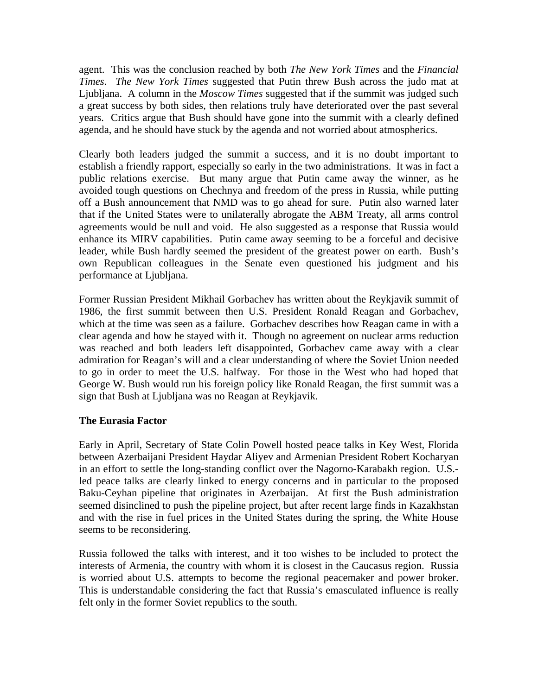agent. This was the conclusion reached by both *The New York Times* and the *Financial Times*. *The New York Times* suggested that Putin threw Bush across the judo mat at Ljubljana. A column in the *Moscow Times* suggested that if the summit was judged such a great success by both sides, then relations truly have deteriorated over the past several years. Critics argue that Bush should have gone into the summit with a clearly defined agenda, and he should have stuck by the agenda and not worried about atmospherics.

Clearly both leaders judged the summit a success, and it is no doubt important to establish a friendly rapport, especially so early in the two administrations. It was in fact a public relations exercise. But many argue that Putin came away the winner, as he avoided tough questions on Chechnya and freedom of the press in Russia, while putting off a Bush announcement that NMD was to go ahead for sure. Putin also warned later that if the United States were to unilaterally abrogate the ABM Treaty, all arms control agreements would be null and void. He also suggested as a response that Russia would enhance its MIRV capabilities. Putin came away seeming to be a forceful and decisive leader, while Bush hardly seemed the president of the greatest power on earth. Bush's own Republican colleagues in the Senate even questioned his judgment and his performance at Ljubljana.

Former Russian President Mikhail Gorbachev has written about the Reykjavik summit of 1986, the first summit between then U.S. President Ronald Reagan and Gorbachev, which at the time was seen as a failure. Gorbachev describes how Reagan came in with a clear agenda and how he stayed with it. Though no agreement on nuclear arms reduction was reached and both leaders left disappointed, Gorbachev came away with a clear admiration for Reagan's will and a clear understanding of where the Soviet Union needed to go in order to meet the U.S. halfway. For those in the West who had hoped that George W. Bush would run his foreign policy like Ronald Reagan, the first summit was a sign that Bush at Ljubljana was no Reagan at Reykjavik.

## **The Eurasia Factor**

Early in April, Secretary of State Colin Powell hosted peace talks in Key West, Florida between Azerbaijani President Haydar Aliyev and Armenian President Robert Kocharyan in an effort to settle the long-standing conflict over the Nagorno-Karabakh region. U.S. led peace talks are clearly linked to energy concerns and in particular to the proposed Baku-Ceyhan pipeline that originates in Azerbaijan. At first the Bush administration seemed disinclined to push the pipeline project, but after recent large finds in Kazakhstan and with the rise in fuel prices in the United States during the spring, the White House seems to be reconsidering.

Russia followed the talks with interest, and it too wishes to be included to protect the interests of Armenia, the country with whom it is closest in the Caucasus region. Russia is worried about U.S. attempts to become the regional peacemaker and power broker. This is understandable considering the fact that Russia's emasculated influence is really felt only in the former Soviet republics to the south.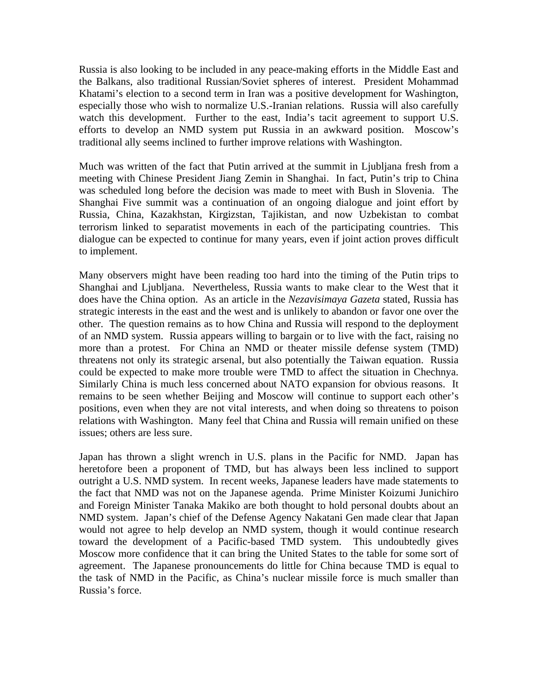Russia is also looking to be included in any peace-making efforts in the Middle East and the Balkans, also traditional Russian/Soviet spheres of interest. President Mohammad Khatami's election to a second term in Iran was a positive development for Washington, especially those who wish to normalize U.S.-Iranian relations. Russia will also carefully watch this development. Further to the east, India's tacit agreement to support U.S. efforts to develop an NMD system put Russia in an awkward position. Moscow's traditional ally seems inclined to further improve relations with Washington.

Much was written of the fact that Putin arrived at the summit in Ljubljana fresh from a meeting with Chinese President Jiang Zemin in Shanghai. In fact, Putin's trip to China was scheduled long before the decision was made to meet with Bush in Slovenia. The Shanghai Five summit was a continuation of an ongoing dialogue and joint effort by Russia, China, Kazakhstan, Kirgizstan, Tajikistan, and now Uzbekistan to combat terrorism linked to separatist movements in each of the participating countries. This dialogue can be expected to continue for many years, even if joint action proves difficult to implement.

Many observers might have been reading too hard into the timing of the Putin trips to Shanghai and Ljubljana. Nevertheless, Russia wants to make clear to the West that it does have the China option. As an article in the *Nezavisimaya Gazeta* stated, Russia has strategic interests in the east and the west and is unlikely to abandon or favor one over the other. The question remains as to how China and Russia will respond to the deployment of an NMD system. Russia appears willing to bargain or to live with the fact, raising no more than a protest. For China an NMD or theater missile defense system (TMD) threatens not only its strategic arsenal, but also potentially the Taiwan equation. Russia could be expected to make more trouble were TMD to affect the situation in Chechnya. Similarly China is much less concerned about NATO expansion for obvious reasons. It remains to be seen whether Beijing and Moscow will continue to support each other's positions, even when they are not vital interests, and when doing so threatens to poison relations with Washington. Many feel that China and Russia will remain unified on these issues; others are less sure.

Japan has thrown a slight wrench in U.S. plans in the Pacific for NMD. Japan has heretofore been a proponent of TMD, but has always been less inclined to support outright a U.S. NMD system. In recent weeks, Japanese leaders have made statements to the fact that NMD was not on the Japanese agenda. Prime Minister Koizumi Junichiro and Foreign Minister Tanaka Makiko are both thought to hold personal doubts about an NMD system. Japan's chief of the Defense Agency Nakatani Gen made clear that Japan would not agree to help develop an NMD system, though it would continue research toward the development of a Pacific-based TMD system. This undoubtedly gives Moscow more confidence that it can bring the United States to the table for some sort of agreement. The Japanese pronouncements do little for China because TMD is equal to the task of NMD in the Pacific, as China's nuclear missile force is much smaller than Russia's force.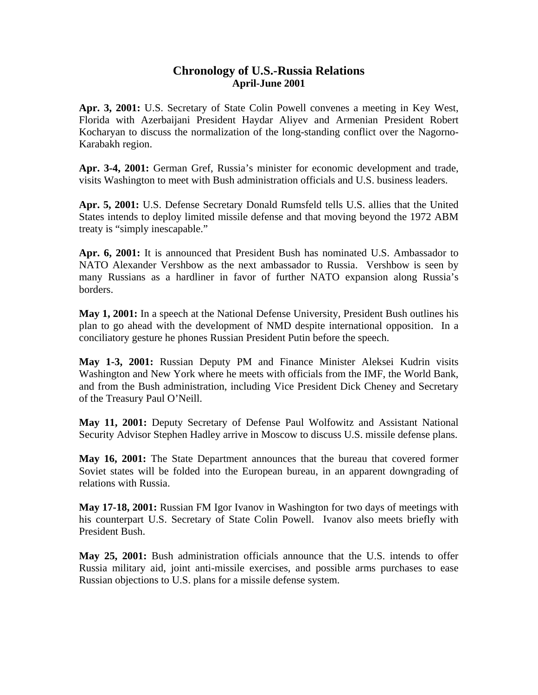## **Chronology of U.S.-Russia Relations April-June 2001**

**Apr. 3, 2001:** U.S. Secretary of State Colin Powell convenes a meeting in Key West, Florida with Azerbaijani President Haydar Aliyev and Armenian President Robert Kocharyan to discuss the normalization of the long-standing conflict over the Nagorno-Karabakh region.

**Apr. 3-4, 2001:** German Gref, Russia's minister for economic development and trade, visits Washington to meet with Bush administration officials and U.S. business leaders.

**Apr. 5, 2001:** U.S. Defense Secretary Donald Rumsfeld tells U.S. allies that the United States intends to deploy limited missile defense and that moving beyond the 1972 ABM treaty is "simply inescapable."

**Apr. 6, 2001:** It is announced that President Bush has nominated U.S. Ambassador to NATO Alexander Vershbow as the next ambassador to Russia. Vershbow is seen by many Russians as a hardliner in favor of further NATO expansion along Russia's borders.

**May 1, 2001:** In a speech at the National Defense University, President Bush outlines his plan to go ahead with the development of NMD despite international opposition. In a conciliatory gesture he phones Russian President Putin before the speech.

**May 1-3, 2001:** Russian Deputy PM and Finance Minister Aleksei Kudrin visits Washington and New York where he meets with officials from the IMF, the World Bank, and from the Bush administration, including Vice President Dick Cheney and Secretary of the Treasury Paul O'Neill.

**May 11, 2001:** Deputy Secretary of Defense Paul Wolfowitz and Assistant National Security Advisor Stephen Hadley arrive in Moscow to discuss U.S. missile defense plans.

**May 16, 2001:** The State Department announces that the bureau that covered former Soviet states will be folded into the European bureau, in an apparent downgrading of relations with Russia.

**May 17-18, 2001:** Russian FM Igor Ivanov in Washington for two days of meetings with his counterpart U.S. Secretary of State Colin Powell. Ivanov also meets briefly with President Bush.

**May 25, 2001:** Bush administration officials announce that the U.S. intends to offer Russia military aid, joint anti-missile exercises, and possible arms purchases to ease Russian objections to U.S. plans for a missile defense system.